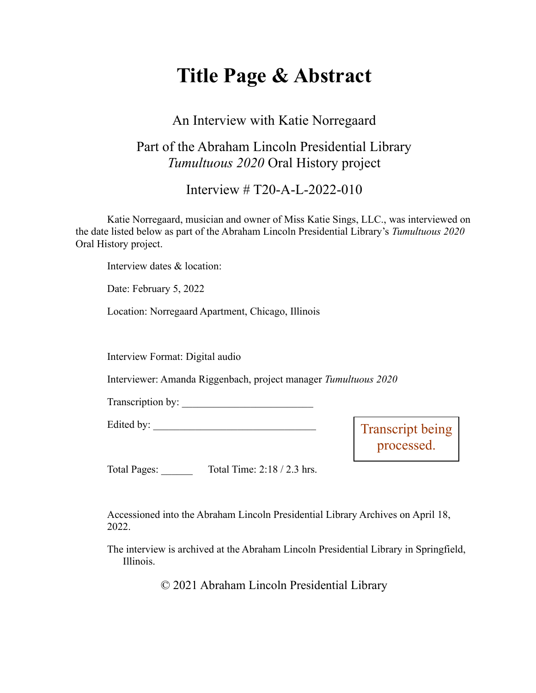# **Title Page & Abstract**

### An Interview with Katie Norregaard

## Part of the Abraham Lincoln Presidential Library *Tumultuous 2020* Oral History project

#### Interview # T20-A-L-2022-010

Katie Norregaard, musician and owner of Miss Katie Sings, LLC., was interviewed on the date listed below as part of the Abraham Lincoln Presidential Library's *Tumultuous 2020* Oral History project.

Interview dates & location:

Date: February 5, 2022

Location: Norregaard Apartment, Chicago, Illinois

Interview Format: Digital audio

Interviewer: Amanda Riggenbach, project manager *Tumultuous 2020*

Transcription by:

Edited by:

Transcript being processed.

Total Pages: Total Time: 2:18 / 2.3 hrs.

Accessioned into the Abraham Lincoln Presidential Library Archives on April 18, 2022.

The interview is archived at the Abraham Lincoln Presidential Library in Springfield, Illinois.

© 2021 Abraham Lincoln Presidential Library